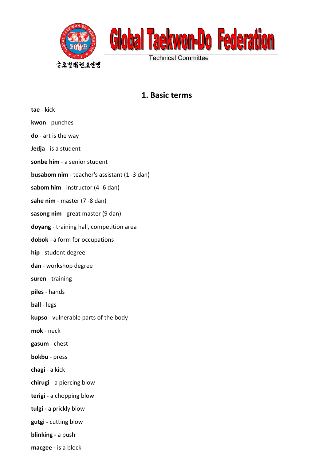

## **1. Basic terms**

| <b>tae</b> - kick                                   |
|-----------------------------------------------------|
| kwon - punches                                      |
| do - art is the way                                 |
| <b>Jedja</b> - is a student                         |
| sonbe him - a senior student                        |
| <b>busabom nim</b> - teacher's assistant (1 -3 dan) |
| sabom him - instructor (4 -6 dan)                   |
| sahe nim - master (7 -8 dan)                        |
| sasong nim - great master (9 dan)                   |
| doyang - training hall, competition area            |
| dobok - a form for occupations                      |
| hip - student degree                                |
| <b>dan</b> - workshop degree                        |
| suren - training                                    |
| piles - hands                                       |
| <b>ball</b> - legs                                  |
| kupso - vulnerable parts of the body                |
| mok - neck                                          |
| gasum - chest                                       |
| <b>bokbu</b> - press                                |
| chagi - a kick                                      |
| chirugi - a piercing blow                           |
| terigi - a chopping blow                            |
| tulgi - a prickly blow                              |
| gutgi - cutting blow                                |
| blinking - a push                                   |
| macgee - is a block                                 |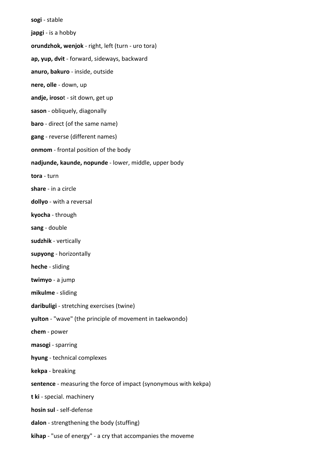**sogi** - stable **japgi** - is a hobby **orundzhok, wenjok** - right, left (turn - uro tora) **ap, yup, dvit** - forward, sideways, backward **anuro, bakuro** - inside, outside **nere, olle** - down, up **andje, iroso**t - sit down, get up **sason** - obliquely, diagonally **baro** - direct (of the same name) **gang** - reverse (different names) **onmom** - frontal position of the body **nadjunde, kaunde, nopunde** - lower, middle, upper body **tora** - turn **share** - in a circle **dollyo** - with a reversal **kyocha** - through **sang** - double **sudzhik** - vertically **supyong** - horizontally **heche** - sliding **twimyo** - a jump **mikulme** - sliding **daribuligi** - stretching exercises (twine) **yulton** - "wave" (the principle of movement in taekwondo) **chem** - power **masogi** - sparring **hyung** - technical complexes **kekpa** - breaking **sentence** - measuring the force of impact (synonymous with kekpa) **t ki** - special. machinery **hosin sul** - self-defense **dalon** - strengthening the body (stuffing) **kihap** - "use of energy" - a cry that accompanies the moveme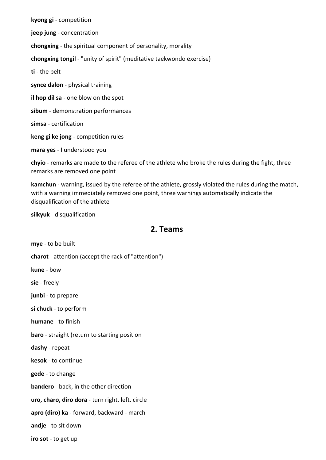**kyong gi** - competition **jeep jung** - concentration **chongxing** - the spiritual component of personality, morality **chongxing tongil** - "unity of spirit" (meditative taekwondo exercise) **ti** - the belt **synce dalon** - physical training **il hop dil sa** - one blow on the spot **sibum** - demonstration performances **simsa** - certification **keng gi ke jong** - competition rules **mara yes** - I understood you

**chyio** - remarks are made to the referee of the athlete who broke the rules during the fight, three remarks are removed one point

**kamchun** - warning, issued by the referee of the athlete, grossly violated the rules during the match, with a warning immediately removed one point, three warnings automatically indicate the disqualification of the athlete

**silkyuk** - disqualification

#### **2. Teams**

**mye** - to be built **charot** - attention (accept the rack of "attention") **kune** - bow **sie** - freely **junbi** - to prepare **si chuck** - to perform **humane** - to finish **baro** - straight (return to starting position **dashy** - repeat **kesok** - to continue **gede** - to change **bandero** - back, in the other direction **uro, charo, diro dora** - turn right, left, circle **apro (diro) ka** - forward, backward - march **andje** - to sit down **iro sot** - to get up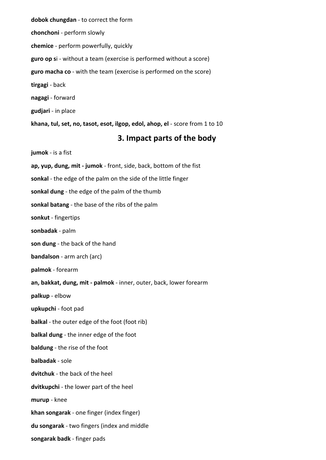**dobok chungdan** - to correct the form **chonchoni** - perform slowly **chemice** - perform powerfully, quickly **guro op s**i - without a team (exercise is performed without a score) **guro macha co** - with the team (exercise is performed on the score) **tirgagi** - back **nagagi** - forward **gudjari** - in place **khana, tul, set, no, tasot, esot, ilgop, edol, ahop, el** - score from 1 to 10

#### **3. Impact parts of the body**

**jumok** - is a fist **ap, yup, dung, mit - jumok** - front, side, back, bottom of the fist **sonkal** - the edge of the palm on the side of the little finger **sonkal dung** - the edge of the palm of the thumb **sonkal batang** - the base of the ribs of the palm **sonkut** - fingertips **sonbadak** - palm **son dung** - the back of the hand **bandalson** - arm arch (arc) **palmok** - forearm **an, bakkat, dung, mit - palmok** - inner, outer, back, lower forearm **palkup** - elbow **upkupchi** - foot pad **balkal** - the outer edge of the foot (foot rib) **balkal dung** - the inner edge of the foot **baldung** - the rise of the foot **balbadak** - sole **dvitchuk** - the back of the heel **dvitkupchi** - the lower part of the heel **murup** - knee **khan songarak** - one finger (index finger) **du songarak** - two fingers (index and middle **songarak badk** - finger pads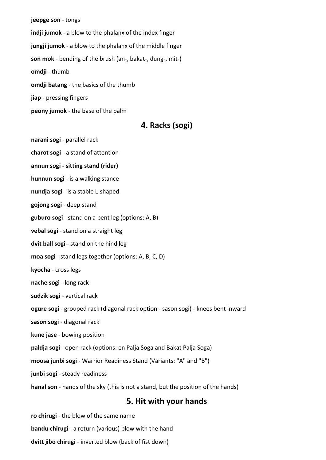**jeepge son** - tongs **indji jumok** - a blow to the phalanx of the index finger **jungji jumok** - a blow to the phalanx of the middle finger **son mok** - bending of the brush (an-, bakat-, dung-, mit-) **omdji** - thumb **omdji batang** - the basics of the thumb **jiap** - pressing fingers **peony jumok** - the base of the palm

### **4. Racks (sogi)**

**narani sogi** - parallel rack

**charot sogi** - a stand of attention

**annun sogi - sitting stand (rider)**

**hunnun sogi** - is a walking stance

**nundja sogi** - is a stable L-shaped

**gojong sogi** - deep stand

**guburo sogi** - stand on a bent leg (options: A, B)

**vebal sogi** - stand on a straight leg

**dvit ball sogi** - stand on the hind leg

**moa sogi** - stand legs together (options: A, B, C, D)

**kyocha** - cross legs

**nache sogi** - long rack

**sudzik sogi** - vertical rack

**ogure sogi** - grouped rack (diagonal rack option - sason sogi) - knees bent inward

**sason sogi** - diagonal rack

**kune jase** - bowing position

**paldja sogi** - open rack (options: en Palja Soga and Bakat Palja Soga)

**moosa junbi sogi** - Warrior Readiness Stand (Variants: "A" and "B")

**junbi sogi** - steady readiness

**hanal son** - hands of the sky (this is not a stand, but the position of the hands)

#### **5. Hit with your hands**

**ro chirugi** - the blow of the same name

**bandu chirugi** - a return (various) blow with the hand

**dvitt jibo chirugi** - inverted blow (back of fist down)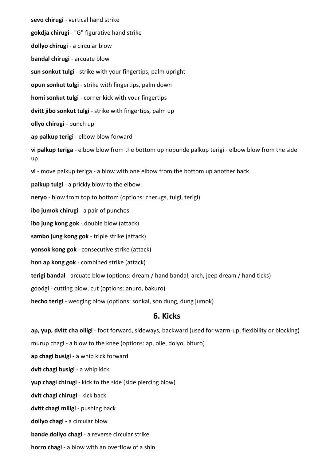**sevo chirugi** - vertical hand strike **gokdja chirugi** - "G" figurative hand strike **dollyo chirugi** - a circular blow **bandal chirugi** - arcuate blow **sun sonkut tulgi** - strike with your fingertips, palm upright **opun sonkut tulgi** - strike with fingertips, palm down **homi sonkut tulgi** - corner kick with your fingertips **dvitt jibo sonkut tulgi** - strike with fingertips, palm up **ollyo chirugi** - punch up **ap palkup terigi** - elbow blow forward **vi palkup teriga** - elbow blow from the bottom up nopunde palkup terigi - elbow blow from the side up **vi** - move palkup teriga - a blow with one elbow from the bottom up another back **palkup tulgi** - a prickly blow to the elbow. **neryo** - blow from top to bottom (options: cherugs, tulgi, terigi) **ibo jumok chirugi** - a pair of punches **ibo jung kong gok** - double blow (attack) **sambo jung kong gok** - triple strike (attack) **yonsok kong gok** - consecutive strike (attack) **hon ap kong gok** - combined strike (attack) **terigi bandal** - arcuate blow (options: dream / hand bandal, arch, jeep dream / hand ticks) goodgi - cutting blow, cut (options: anuro, bakuro) **hecho terigi** - wedging blow (options: sonkal, son dung, dung jumok) **6. Kicks ap, yup, dvitt cha olligi** - foot forward, sideways, backward (used for warm-up, flexibility or blocking)

murup chagi - a blow to the knee (options: ap, olle, dolyo, bituro)

**ap chagi busigi** - a whip kick forward

**dvit chagi busigi** - a whip kick

**yup chagi chirugi** - kick to the side (side piercing blow)

**dvit chagi chirugi** - kick back

**dvitt chagi miligi** - pushing back

**dollyo chagi** - a circular blow

**bande dollyo chagi** - a reverse circular strike

**horro chagi -** a blow with an overflow of a shin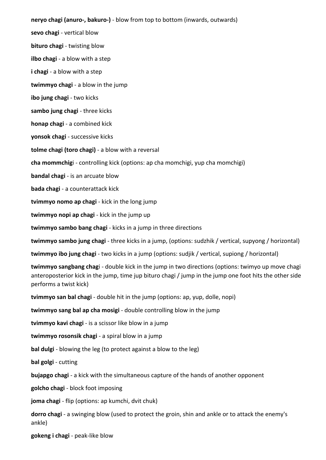**neryo chagi (anuro-, bakuro-)** - blow from top to bottom (inwards, outwards) **sevo chagi** - vertical blow **bituro chagi** - twisting blow **ilbo chagi** - a blow with a step **i chagi** - a blow with a step **twimmyo chagi** - a blow in the jump **ibo jung chagi** - two kicks **sambo jung chagi** - three kicks **honap chagi** - a combined kick **yonsok chagi** - successive kicks **tolme chagi (toro chagi)** - a blow with a reversal **cha mommchig**i - controlling kick (options: ap cha momchigi, yup cha momchigi) **bandal chagi** - is an arcuate blow **bada chagi** - a counterattack kick **tvimmyo nomo ap chagi** - kick in the long jump **twimmyo nopi ap chagi** - kick in the jump up **twimmyo sambo bang chagi** - kicks in a jump in three directions **twimmyo sambo jung chagi** - three kicks in a jump, (options: sudzhik / vertical, supyong / horizontal) **twimmyo ibo jung chagi** - two kicks in a jump (options: sudjik / vertical, supiong / horizontal) **twimmyo sangbang chag**i - double kick in the jump in two directions (options: twimyo up move chagi anteroposterior kick in the jump, time jup bituro chagi / jump in the jump one foot hits the other side performs a twist kick)

**tvimmyo san bal chagi** - double hit in the jump (options: ap, yup, dolle, nopi)

**twimmyo sang bal ap cha mosigi** - double controlling blow in the jump

**tvimmyo kavi chagi** - is a scissor like blow in a jump

**twimmyo rosonsik chagi** - a spiral blow in a jump

**bal dulgi** - blowing the leg (to protect against a blow to the leg)

**bal golgi** - cutting

**bujapgo chagi** - a kick with the simultaneous capture of the hands of another opponent

**golcho chagi** - block foot imposing

**joma chagi** - flip (options: ap kumchi, dvit chuk)

**dorro chagi** - a swinging blow (used to protect the groin, shin and ankle or to attack the enemy's ankle)

**gokeng i chagi** - peak-like blow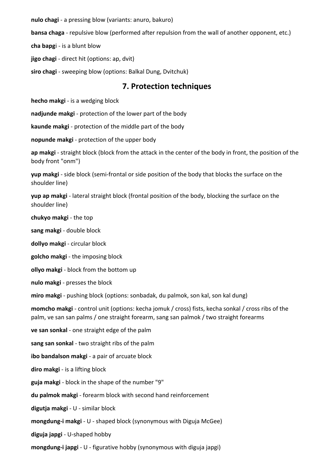**nulo chagi** - a pressing blow (variants: anuro, bakuro)

**bansa chaga** - repulsive blow (performed after repulsion from the wall of another opponent, etc.)

**cha bapg**i - is a blunt blow

**jigo chagi** - direct hit (options: ap, dvit)

**siro chagi** - sweeping blow (options: Balkal Dung, Dvitchuk)

#### **7. Protection techniques**

**hecho makgi** - is a wedging block

**nadjunde makgi** - protection of the lower part of the body

**kaunde makgi** - protection of the middle part of the body

**nopunde makgi** - protection of the upper body

**ap makgi** - straight block (block from the attack in the center of the body in front, the position of the body front "onm")

**yup makgi** - side block (semi-frontal or side position of the body that blocks the surface on the shoulder line)

**yup ap makgi** - lateral straight block (frontal position of the body, blocking the surface on the shoulder line)

**chukyo makgi** - the top

**sang makgi** - double block

**dollyo makgi** - circular block

**golcho makgi** - the imposing block

**ollyo makgi** - block from the bottom up

**nulo makgi** - presses the block

**miro makgi** - pushing block (options: sonbadak, du palmok, son kal, son kal dung)

**momcho makgi** - control unit (options: kecha jomuk / cross) fists, kecha sonkal / cross ribs of the palm, ve san san palms / one straight forearm, sang san palmok / two straight forearms

**ve san sonkal** - one straight edge of the palm

**sang san sonkal** - two straight ribs of the palm

**ibo bandalson makgi** - a pair of arcuate block

**diro makgi** - is a lifting block

**guja makgi** - block in the shape of the number "9"

**du palmok makgi** - forearm block with second hand reinforcement

**digutja makgi** - U - similar block

**mongdung-i makgi** - U - shaped block (synonymous with Diguja McGee)

**diguja japgi** - U-shaped hobby

**mongdung-i japgi** - U - figurative hobby (synonymous with diguja japgi)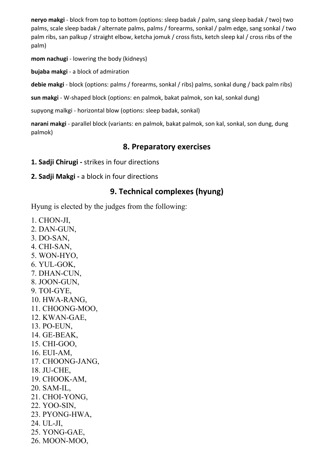**neryo makgi** - block from top to bottom (options: sleep badak / palm, sang sleep badak / two) two palms, scale sleep badak / alternate palms, palms / forearms, sonkal / palm edge, sang sonkal / two palm ribs, san palkup / straight elbow, ketcha jomuk / cross fists, ketch sleep kal / cross ribs of the palm)

**mom nachugi** - lowering the body (kidneys)

**bujaba makgi** - a block of admiration

**debie makgi** - block (options: palms / forearms, sonkal / ribs) palms, sonkal dung / back palm ribs)

**sun makgi** - W-shaped block (options: en palmok, bakat palmok, son kal, sonkal dung)

supyong malkgi - horizontal blow (options: sleep badak, sonkal)

**narani makgi** - parallel block (variants: en palmok, bakat palmok, son kal, sonkal, son dung, dung palmok)

## **8. Preparatory exercises**

- **1. Sadji Chirugi -** strikes in four directions
- **2. Sadji Makgi -** a block in four directions

# **9. Technical complexes (hyung)**

Hyung is elected by the judges from the following:

- 1. CHON-JI,
- 2. DAN-GUN,
- 3. DO-SAN,
- 4. CHI-SAN,
- 5. WON-HYO,
- 6. YUL-GOK,
- 7. DHAN-CUN,
- 8. JOON-GUN,
- 9. TOI-GYE,
- 10. HWA-RANG,
- 11. CHOONG-MOO,
- 12. KWAN-GAE,
- 13. PO-EUN,
- 14. GE-BEAK,
- 15. CHI-GOO,
- 16. EUI-AM,
- 17. CHOONG-JANG,
- 18. JU-CHE,
- 19. CHOOK-AM,
- 20. SAM-IL,
- 21. CHOI-YONG,
- 22. YOO-SIN,
- 23. PYONG-HWA,
- 24. UL-JI,
- 25. YONG-GAE,
- 26. MOON-MOO,